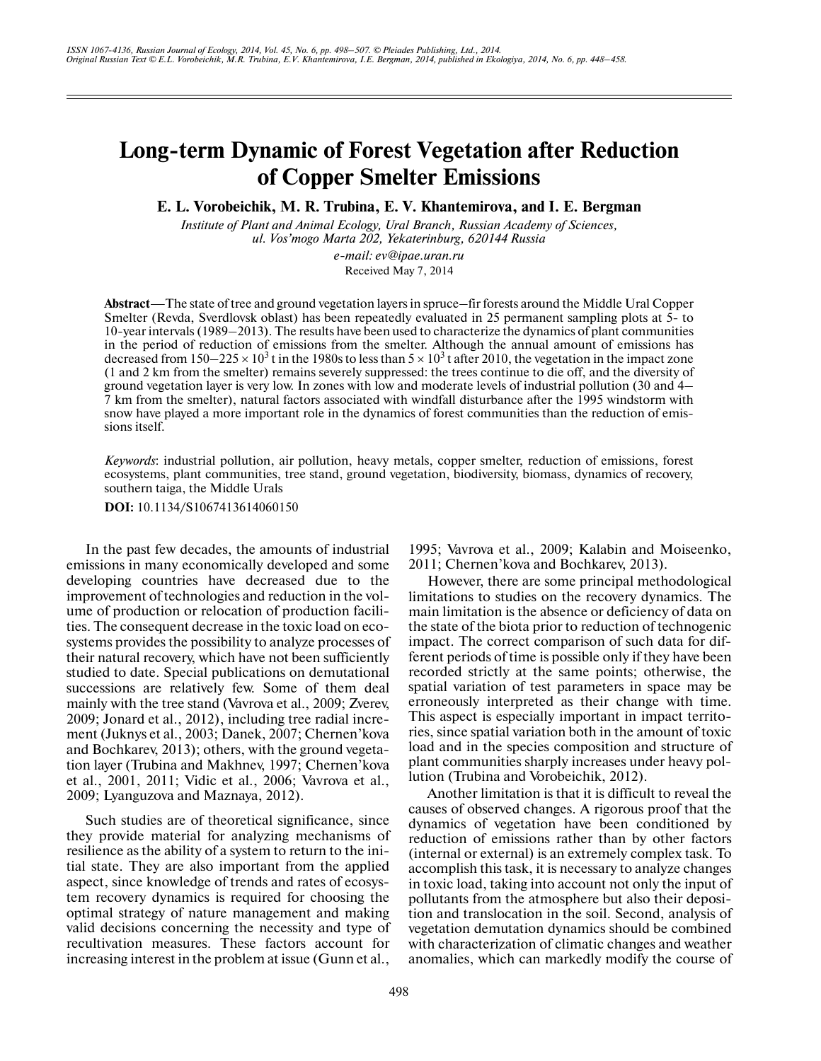# **Long-term Dynamic of Forest Vegetation after Reduction of Copper Smelter Emissions**

**E. L. Vorobeichik, M. R. Trubina, E. V. Khantemirova, and I. E. Bergman**

*Institute of Plant and Animal Ecology, Ural Branch, Russian Academy of Sciences, ul. Vos'mogo Marta 202, Yekaterinburg, 620144 Russia*

*e-mail: ev@ipae.uran.ru* Received May 7, 2014

**Abstract**—The state of tree and ground vegetation layers in spruce–fir forests around the Middle Ural Copper Smelter (Revda, Sverdlovsk oblast) has been repeatedly evaluated in 25 permanent sampling plots at 5-to 10-year intervals (1989–2013). The results have been used to characterize the dynamics of plant communities in the period of reduction of emissions from the smelter. Although the annual amount of emissions has decreased from 150–225  $\times$  10<sup>3</sup> t in the 1980s to less than 5  $\times$  10<sup>3</sup> t after 2010, the vegetation in the impact zone (1 and 2 km from the smelter) remains severely suppressed: the trees continue to die off, and the diversity of ground vegetation layer is very low. In zones with low and moderate levels of industrial pollution (30 and 4– 7 km from the smelter), natural factors associated with windfall disturbance after the 1995 windstorm with snow have played a more important role in the dynamics of forest communities than the reduction of emis sions itself.

*Keywords*: industrial pollution, air pollution, heavy metals, copper smelter, reduction of emissions, forest ecosystems, plant communities, tree stand, ground vegetation, biodiversity, biomass, dynamics of recovery, southern taiga, the Middle Urals

**DOI:** 10.1134/S1067413614060150

In the past few decades, the amounts of industrial emissions in many economically developed and some developing countries have decreased due to the improvement of technologies and reduction in the vol ume of production or relocation of production facili ties. The consequent decrease in the toxic load on eco systems provides the possibility to analyze processes of their natural recovery, which have not been sufficiently studied to date. Special publications on demutational successions are relatively few. Some of them deal mainly with the tree stand (Vavrova et al., 2009; Zverev, 2009; Jonard et al., 2012), including tree radial incre ment (Juknys et al., 2003; Danek, 2007; Chernen'kova and Bochkarev, 2013); others, with the ground vegeta tion layer (Trubina and Makhnev, 1997; Chernen'kova et al., 2001, 2011; Vidic et al., 2006; Vavrova et al., 2009; Lyanguzova and Maznaya, 2012).

Such studies are of theoretical significance, since they provide material for analyzing mechanisms of resilience as the ability of a system to return to the ini tial state. They are also important from the applied aspect, since knowledge of trends and rates of ecosys tem recovery dynamics is required for choosing the optimal strategy of nature management and making valid decisions concerning the necessity and type of recultivation measures. These factors account for increasing interest in the problem at issue (Gunn et al.,

1995; Vavrova et al., 2009; Kalabin and Moiseenko, 2011; Chernen'kova and Bochkarev, 2013). However, there are some principal methodological

limitations to studies on the recovery dynamics. The main limitation is the absence or deficiency of data on the state of the biota prior to reduction of technogenic impact. The correct comparison of such data for dif ferent periods of time is possible only if they have been recorded strictly at the same points; otherwise, the spatial variation of test parameters in space may be erroneously interpreted as their change with time. This aspect is especially important in impact territo ries, since spatial variation both in the amount of toxic load and in the species composition and structure of plant communities sharply increases under heavy pol lution (Trubina and Vorobeichik, 2012).

Another limitation is that it is difficult to reveal the causes of observed changes. A rigorous proof that the dynamics of vegetation have been conditioned by reduction of emissions rather than by other factors (internal or external) is an extremely complex task. To accomplish this task, it is necessary to analyze changes in toxic load, taking into account not only the input of pollutants from the atmosphere but also their deposi tion and translocation in the soil. Second, analysis of vegetation demutation dynamics should be combined with characterization of climatic changes and weather anomalies, which can markedly modify the course of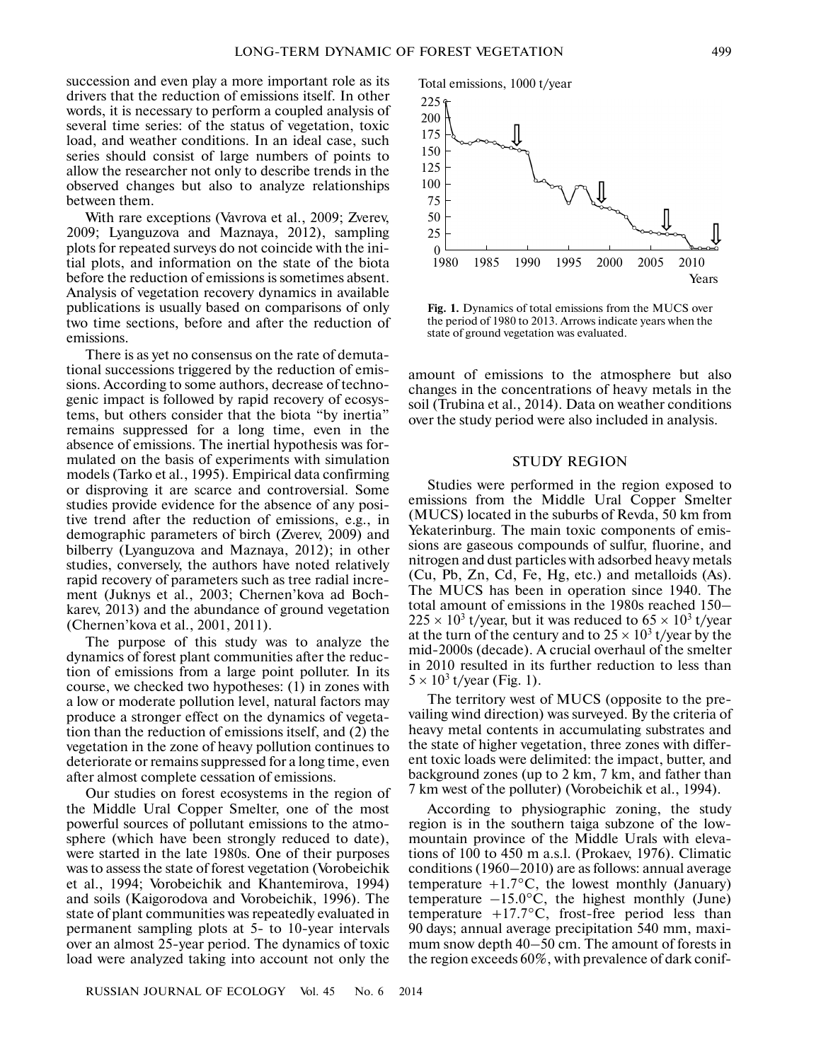succession and even play a more important role as its drivers that the reduction of emissions itself. In other words, it is necessary to perform a coupled analysis of several time series: of the status of vegetation, toxic load, and weather conditions. In an ideal case, such series should consist of large numbers of points to allow the researcher not only to describe trends in the observed changes but also to analyze relationships between them.

With rare exceptions (Vavrova et al., 2009; Zverev, 2009; Lyanguzova and Maznaya, 2012), sampling plots for repeated surveys do not coincide with the ini tial plots, and information on the state of the biota before the reduction of emissions is sometimes absent. Analysis of vegetation recovery dynamics in available publications is usually based on comparisons of only two time sections, before and after the reduction of emissions.

There is as yet no consensus on the rate of demuta tional successions triggered by the reduction of emis sions. According to some authors, decrease of techno genic impact is followed by rapid recovery of ecosys tems, but others consider that the biota "by inertia" remains suppressed for a long time, even in the absence of emissions. The inertial hypothesis was for mulated on the basis of experiments with simulation models (Tarko et al., 1995). Empirical data confirming or disproving it are scarce and controversial. Some studies provide evidence for the absence of any posi tive trend after the reduction of emissions, e.g., in demographic parameters of birch (Zverev, 2009) and bilberry (Lyanguzova and Maznaya, 2012); in other studies, conversely, the authors have noted relatively rapid recovery of parameters such as tree radial incre ment (Juknys et al., 2003; Chernen'kova ad Boch karev, 2013) and the abundance of ground vegetation (Chernen'kova et al., 2001, 2011).

The purpose of this study was to analyze the dynamics of forest plant communities after the reduc tion of emissions from a large point polluter. In its course, we checked two hypotheses: (1) in zones with a low or moderate pollution level, natural factors may produce a stronger effect on the dynamics of vegeta tion than the reduction of emissions itself, and (2) the vegetation in the zone of heavy pollution continues to deteriorate or remains suppressed for a long time, even after almost complete cessation of emissions.

Our studies on forest ecosystems in the region of the Middle Ural Copper Smelter, one of the most powerful sources of pollutant emissions to the atmo sphere (which have been strongly reduced to date), were started in the late 1980s. One of their purposes was to assess the state of forest vegetation (Vorobeichik et al., 1994; Vorobeichik and Khantemirova, 1994) and soils (Kaigorodova and Vorobeichik, 1996). The state of plant communities was repeatedly evaluated in permanent sampling plots at 5- to 10-year intervals over an almost 25-year period. The dynamics of toxic load were analyzed taking into account not only the



**Fig. 1.** Dynamics of total emissions from the MUCS over the period of 1980 to 2013. Arrows indicate years when the state of ground vegetation was evaluated.

amount of emissions to the atmosphere but also changes in the concentrations of heavy metals in the soil (Trubina et al., 2014). Data on weather conditions over the study period were also included in analysis.

#### STUDY REGION

Studies were performed in the region exposed to emissions from the Middle Ural Copper Smelter (MUCS) located in the suburbs of Revda, 50 km from Yekaterinburg. The main toxic components of emis sions are gaseous compounds of sulfur, fluorine, and nitrogen and dust particles with adsorbed heavy metals (Cu, Pb, Zn, Cd, Fe, Hg, etc.) and metalloids (As). The MUCS has been in operation since 1940. The total amount of emissions in the 1980s reached 150–  $225 \times 10^3$  t/year, but it was reduced to  $65 \times 10^3$  t/year at the turn of the century and to  $25 \times 10^3$  t/year by the mid-2000s (decade). A crucial overhaul of the smelter in 2010 resulted in its further reduction to less than  $5 \times 10^3$  t/year (Fig. 1).

The territory west of MUCS (opposite to the pre vailing wind direction) was surveyed. By the criteria of heavy metal contents in accumulating substrates and the state of higher vegetation, three zones with differ ent toxic loads were delimited: the impact, butter, and background zones (up to 2 km, 7 km, and father than 7 km west of the polluter) (Vorobeichik et al., 1994).

According to physiographic zoning, the study region is in the southern taiga subzone of the low mountain province of the Middle Urals with eleva tions of 100 to 450 m a.s.l. (Prokaev, 1976). Climatic conditions (1960–2010) are as follows: annual average temperature  $+1.7$ °C, the lowest monthly (January) temperature  $-15.0\degree C$ , the highest monthly (June) temperature  $+17.7$ °C, frost-free period less than 90 days; annual average precipitation 540 mm, maxi mum snow depth 40–50 cm. The amount of forests in the region exceeds 60%, with prevalence of dark conif-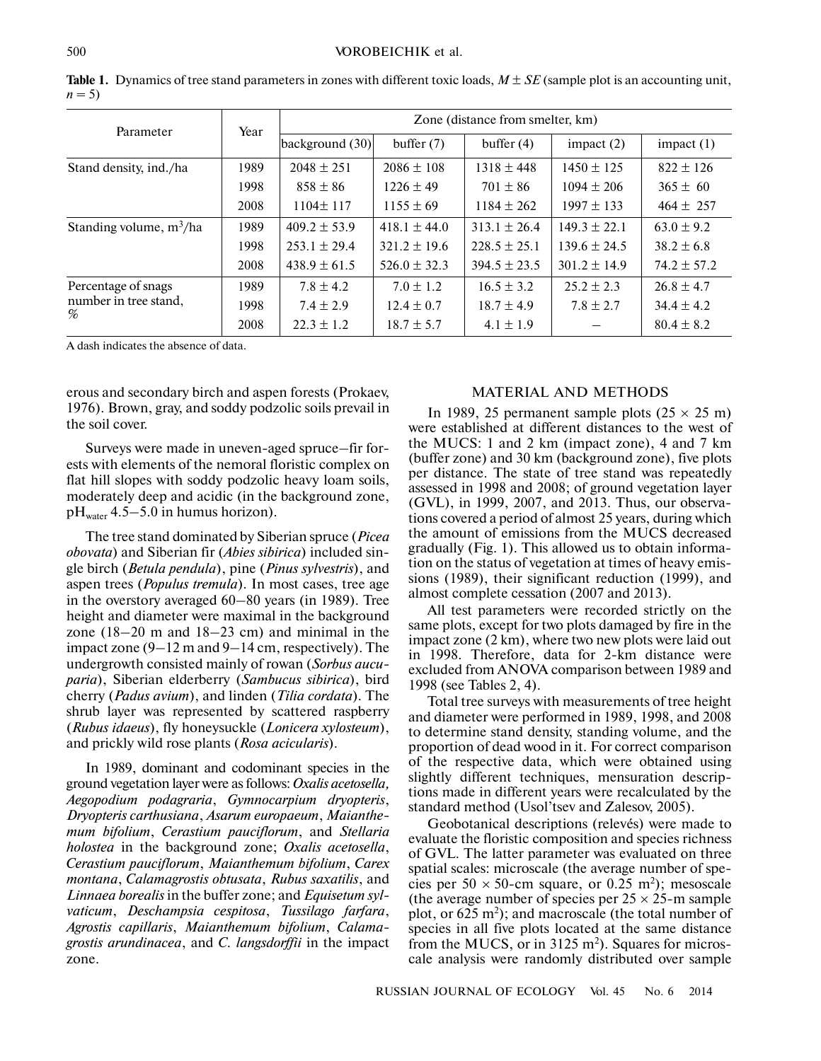| Parameter                  | Year | Zone (distance from smelter, km) |                  |                  |                  |                 |  |
|----------------------------|------|----------------------------------|------------------|------------------|------------------|-----------------|--|
|                            |      | background (30)                  | buffer $(7)$     | buffer $(4)$     | impact $(2)$     | impact $(1)$    |  |
| Stand density, ind./ha     | 1989 | $2048 \pm 251$                   | $2086 \pm 108$   | $1318 \pm 448$   | $1450 \pm 125$   | $822 \pm 126$   |  |
|                            | 1998 | $858 \pm 86$                     | $1226 \pm 49$    | $701 \pm 86$     | $1094 \pm 206$   | $365 \pm 60$    |  |
|                            | 2008 | $1104 \pm 117$                   | $1155 \pm 69$    | $1184 \pm 262$   | $1997 \pm 133$   | $464 \pm 257$   |  |
| Standing volume, $m^3/ha$  | 1989 | $409.2 \pm 53.9$                 | $418.1 \pm 44.0$ | $313.1 \pm 26.4$ | $149.3 \pm 22.1$ | $63.0 \pm 9.2$  |  |
|                            | 1998 | $253.1 \pm 29.4$                 | $321.2 \pm 19.6$ | $228.5 \pm 25.1$ | $139.6 \pm 24.5$ | $38.2 \pm 6.8$  |  |
|                            | 2008 | $438.9 \pm 61.5$                 | $526.0 \pm 32.3$ | $394.5 \pm 23.5$ | $301.2 \pm 14.9$ | $74.2 \pm 57.2$ |  |
| Percentage of snags        | 1989 | $7.8 \pm 4.2$                    | $7.0 \pm 1.2$    | $16.5 \pm 3.2$   | $25.2 \pm 2.3$   | $26.8 \pm 4.7$  |  |
| number in tree stand,<br>% | 1998 | $7.4 \pm 2.9$                    | $12.4 \pm 0.7$   | $18.7 \pm 4.9$   | $7.8 \pm 2.7$    | $34.4 \pm 4.2$  |  |
|                            | 2008 | $22.3 \pm 1.2$                   | $18.7 \pm 5.7$   | $4.1 \pm 1.9$    |                  | $80.4 \pm 8.2$  |  |

**Table 1.** Dynamics of tree stand parameters in zones with different toxic loads, *M* ± *SE* (sample plot is an accounting unit,  $n = 5$ )

A dash indicates the absence of data.

erous and secondary birch and aspen forests (Prokaev, 1976). Brown, gray, and soddy podzolic soils prevail in the soil cover.

Surveys were made in uneven-aged spruce–fir for ests with elements of the nemoral floristic complex on flat hill slopes with soddy podzolic heavy loam soils, moderately deep and acidic (in the background zone,  $pH<sub>water</sub>$  4.5–5.0 in humus horizon).

The tree stand dominated by Siberian spruce (*Picea obovata*) and Siberian fir (*Abies sibirica*) included sin gle birch (*Betula pendula*), pine (*Pinus sylvestris*), and aspen trees (*Populus tremula*). In most cases, tree age in the overstory averaged 60–80 years (in 1989). Tree height and diameter were maximal in the background zone (18–20 m and 18–23 cm) and minimal in the impact zone (9–12 m and 9–14 cm, respectively). The undergrowth consisted mainly of rowan (*Sorbus aucu paria*), Siberian elderberry (*Sambucus sibirica*), bird cherry (*Padus avium*), and linden (*Tilia cordata*). The shrub layer was represented by scattered raspberry (*Rubus idaeus*), fly honeysuckle (*Lonicera xylosteum*), and prickly wild rose plants (*Rosa acicularis*).

In 1989, dominant and codominant species in the ground vegetation layer were as follows: *Oxalis acetosella, Aegopodium podagraria*, *Gymnocarpium dryopteris*, *Dryopteris carthusiana*, *Asarum europaeum*, *Maianthe mum bifolium*, *Cerastium pauciflorum*, and *Stellaria holostea* in the background zone; *Oxalis acetosella*, *Cerastium pauciflorum*, *Maianthemum bifolium*, *Carex montana*, *Calamagrostis obtusata*, *Rubus saxatilis*, and *Linnaea borealis* in the buffer zone; and *Equisetum syl vaticum*, *Deschampsia cespitosa*, *Tussilago farfara*, *Agrostis capillaris*, *Maianthemum bifolium*, *Calama grostis arundinacea*, and *C. langsdorffii* in the impact zone.

## MATERIAL AND METHODS

In 1989, 25 permanent sample plots  $(25 \times 25 \text{ m})$ were established at different distances to the west of the MUCS: 1 and 2 km (impact zone), 4 and 7 km (buffer zone) and 30 km (background zone), five plots per distance. The state of tree stand was repeatedly assessed in 1998 and 2008; of ground vegetation layer (GVL), in 1999, 2007, and 2013. Thus, our observa tions covered a period of almost 25 years, during which the amount of emissions from the MUCS decreased gradually (Fig. 1). This allowed us to obtain informa tion on the status of vegetation at times of heavy emis sions (1989), their significant reduction (1999), and almost complete cessation (2007 and 2013).

All test parameters were recorded strictly on the same plots, except for two plots damaged by fire in the impact zone (2 km), where two new plots were laid out in 1998. Therefore, data for 2-km distance were excluded from ANOVA comparison between 1989 and 1998 (see Tables 2, 4).

Total tree surveys with measurements of tree height and diameter were performed in 1989, 1998, and 2008 to determine stand density, standing volume, and the proportion of dead wood in it. For correct comparison of the respective data, which were obtained using slightly different techniques, mensuration descrip tions made in different years were recalculated by the standard method (Usol'tsev and Zalesov, 2005).

Geobotanical descriptions (relevés) were made to evaluate the floristic composition and species richness of GVL. The latter parameter was evaluated on three spatial scales: microscale (the average number of spe cies per  $50 \times 50$ -cm square, or 0.25 m<sup>2</sup>); mesoscale (the average number of species per  $25 \times 25$ -m sample plot, or 625 m<sup>2</sup>); and macroscale (the total number of species in all five plots located at the same distance from the MUCS, or in 3125 m<sup>2</sup>). Squares for microscale analysis were randomly distributed over sample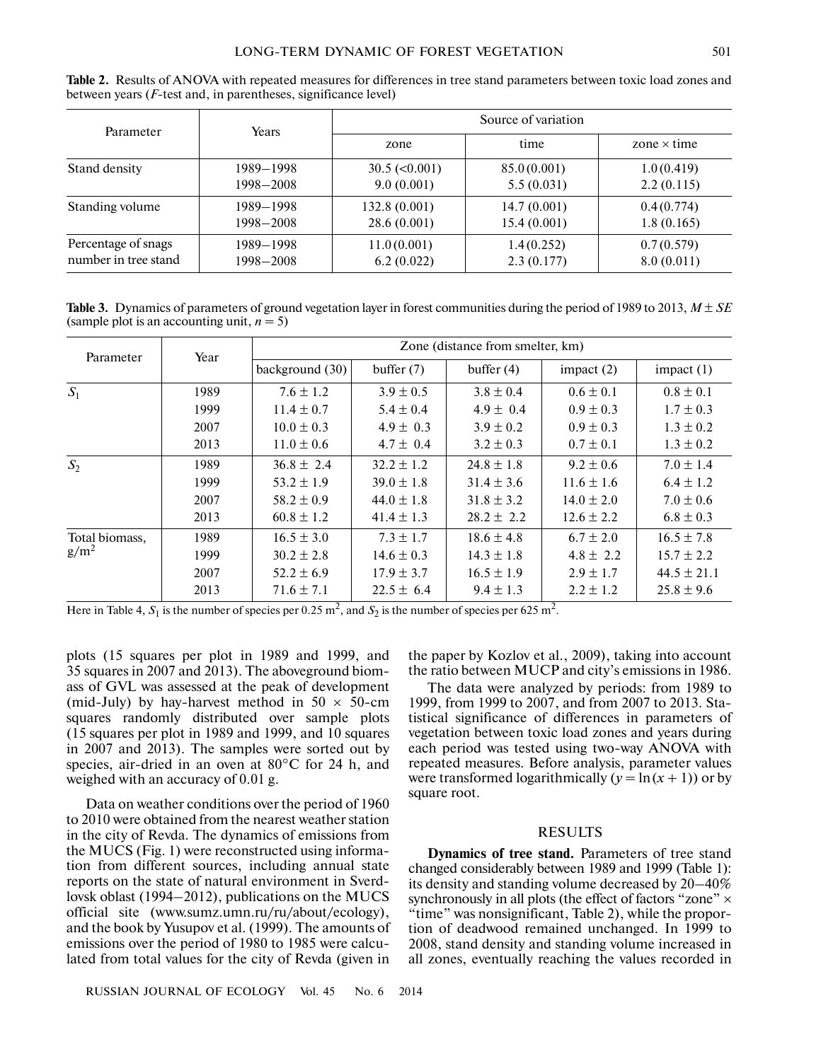**Table 2.** Results of ANOVA with repeated measures for differences in tree stand parameters between toxic load zones and between years (*F*-test and, in parentheses, significance level)

| Parameter            | <b>Years</b> | Source of variation    |             |                    |  |  |
|----------------------|--------------|------------------------|-------------|--------------------|--|--|
|                      |              | zone                   | time        | zone $\times$ time |  |  |
| Stand density        | 1989–1998    | $30.5 \approx (0.001)$ | 85.0(0.001) | 1.0(0.419)         |  |  |
|                      | 1998-2008    | 9.0(0.001)             | 5.5(0.031)  | 2.2(0.115)         |  |  |
| Standing volume      | 1989-1998    | 132.8(0.001)           | 14.7(0.001) | 0.4(0.774)         |  |  |
|                      | 1998-2008    | 28.6(0.001)            | 15.4(0.001) | 1.8(0.165)         |  |  |
| Percentage of snags  | 1989-1998    | 11.0(0.001)            | 1.4(0.252)  | 0.7(0.579)         |  |  |
| number in tree stand | 1998-2008    | 6.2(0.022)             | 2.3(0.177)  | 8.0(0.011)         |  |  |

**Table 3.** Dynamics of parameters of ground vegetation layer in forest communities during the period of 1989 to 2013, *M* ± *SE* (sample plot is an accounting unit,  $n = 5$ )

| Parameter                 | Year | Zone (distance from smelter, km) |                |                |                |                 |  |
|---------------------------|------|----------------------------------|----------------|----------------|----------------|-----------------|--|
|                           |      | background (30)                  | buffer $(7)$   | buffer $(4)$   | impact $(2)$   | impact $(1)$    |  |
| $S_1$                     | 1989 | $7.6 \pm 1.2$                    | $3.9 \pm 0.5$  | $3.8 \pm 0.4$  | $0.6 \pm 0.1$  | $0.8 \pm 0.1$   |  |
|                           | 1999 | $11.4 \pm 0.7$                   | $5.4 \pm 0.4$  | $4.9 \pm 0.4$  | $0.9 \pm 0.3$  | $1.7 \pm 0.3$   |  |
|                           | 2007 | $10.0 \pm 0.3$                   | $4.9 \pm 0.3$  | $3.9 \pm 0.2$  | $0.9 \pm 0.3$  | $1.3 \pm 0.2$   |  |
|                           | 2013 | $11.0 \pm 0.6$                   | $4.7 \pm 0.4$  | $3.2 \pm 0.3$  | $0.7 \pm 0.1$  | $1.3 \pm 0.2$   |  |
| $S_2$                     | 1989 | $36.8 \pm 2.4$                   | $32.2 \pm 1.2$ | $24.8 \pm 1.8$ | $9.2 \pm 0.6$  | $7.0 \pm 1.4$   |  |
|                           | 1999 | $53.2 \pm 1.9$                   | $39.0 \pm 1.8$ | $31.4 \pm 3.6$ | $11.6 \pm 1.6$ | $6.4 \pm 1.2$   |  |
|                           | 2007 | $58.2 \pm 0.9$                   | $44.0 \pm 1.8$ | $31.8 \pm 3.2$ | $14.0 \pm 2.0$ | $7.0 \pm 0.6$   |  |
|                           | 2013 | $60.8 \pm 1.2$                   | $41.4 \pm 1.3$ | $28.2 \pm 2.2$ | $12.6 \pm 2.2$ | $6.8 \pm 0.3$   |  |
| Total biomass,<br>$g/m^2$ | 1989 | $16.5 \pm 3.0$                   | $7.3 \pm 1.7$  | $18.6 \pm 4.8$ | $6.7 \pm 2.0$  | $16.5 \pm 7.8$  |  |
|                           | 1999 | $30.2 \pm 2.8$                   | $14.6 \pm 0.3$ | $14.3 \pm 1.8$ | $4.8 \pm 2.2$  | $15.7 \pm 2.2$  |  |
|                           | 2007 | $52.2 \pm 6.9$                   | $17.9 \pm 3.7$ | $16.5 \pm 1.9$ | $2.9 \pm 1.7$  | $44.5 \pm 21.1$ |  |
|                           | 2013 | $71.6 \pm 7.1$                   | $22.5 \pm 6.4$ | $9.4 \pm 1.3$  | $2.2 \pm 1.2$  | $25.8 \pm 9.6$  |  |

Here in Table 4,  $S_1$  is the number of species per 0.25 m<sup>2</sup>, and  $S_2$  is the number of species per 625 m<sup>2</sup>.

plots (15 squares per plot in 1989 and 1999, and 35 squares in 2007 and 2013). The aboveground biom ass of GVL was assessed at the peak of development (mid-July) by hay-harvest method in  $50 \times 50$ -cm squares randomly distributed over sample plots (15 squares per plot in 1989 and 1999, and 10 squares in 2007 and 2013). The samples were sorted out by species, air-dried in an oven at 80°C for 24 h, and weighed with an accuracy of 0.01 g.

Data on weather conditions over the period of 1960 to 2010 were obtained from the nearest weather station in the city of Revda. The dynamics of emissions from the MUCS (Fig. 1) were reconstructed using informa tion from different sources, including annual state reports on the state of natural environment in Sverd lovsk oblast (1994–2012), publications on the MUCS official site (www.sumz.umn.ru/ru/about/ecology), and the book by Yusupov et al. (1999). The amounts of emissions over the period of 1980 to 1985 were calcu lated from total values for the city of Revda (given in the paper by Kozlov et al., 2009), taking into account the ratio between MUCP and city's emissions in 1986.

The data were analyzed by periods: from 1989 to 1999, from 1999 to 2007, and from 2007 to 2013. Sta tistical significance of differences in parameters of vegetation between toxic load zones and years during each period was tested using two-way ANOVA with repeated measures. Before analysis, parameter values were transformed logarithmically  $(y = \ln(x + 1))$  or by square root.

### RESULTS

**Dynamics of tree stand.** Parameters of tree stand changed considerably between 1989 and 1999 (Table 1): its density and standing volume decreased by 20–40% synchronously in all plots (the effect of factors "zone"  $\times$ "time" was nonsignificant, Table 2), while the propor tion of deadwood remained unchanged. In 1999 to 2008, stand density and standing volume increased in all zones, eventually reaching the values recorded in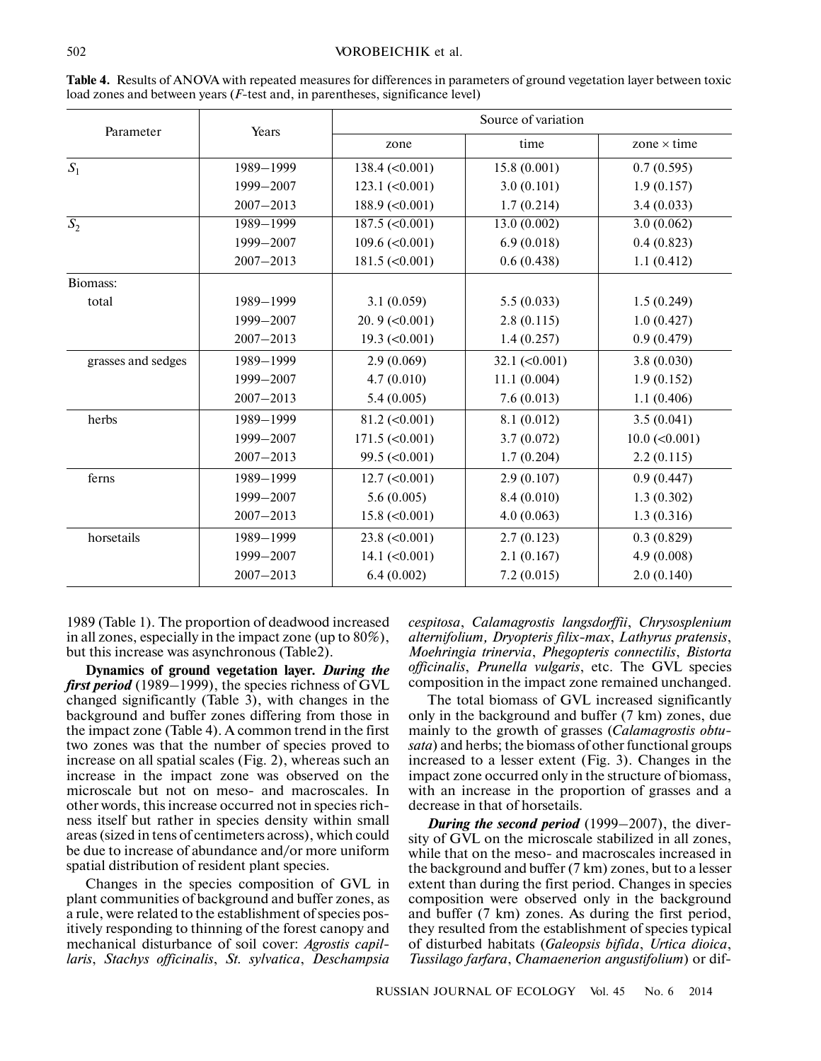| Parameter          | Years         | Source of variation              |                                  |                        |  |  |
|--------------------|---------------|----------------------------------|----------------------------------|------------------------|--|--|
|                    |               | zone                             | time                             | zone $\times$ time     |  |  |
| $S_1$              | 1989-1999     | $138.4 \left( < 0.001 \right)$   | 15.8(0.001)                      | 0.7(0.595)             |  |  |
|                    | 1999-2007     | $123.1 \left( < 0.001 \right)$   | 3.0(0.101)                       | 1.9(0.157)             |  |  |
|                    | $2007 - 2013$ | $188.9$ (<0.001)                 | 1.7(0.214)                       | 3.4(0.033)             |  |  |
| $\overline{S_2}$   | 1989-1999     | $187.5 \left( <0.001 \right)$    | 13.0(0.002)                      | 3.0(0.062)             |  |  |
|                    | 1999-2007     | $109.6 \approx 0.001$            | 6.9(0.018)                       | 0.4(0.823)             |  |  |
|                    | $2007 - 2013$ | $181.5 \left( < 0.001 \right)$   | 0.6(0.438)                       | 1.1(0.412)             |  |  |
| Biomass:           |               |                                  |                                  |                        |  |  |
| total              | 1989-1999     | 3.1(0.059)                       | 5.5(0.033)                       | 1.5(0.249)             |  |  |
|                    | 1999-2007     | $20.9$ (< $0.001$ )              | 2.8(0.115)                       | 1.0(0.427)             |  |  |
|                    | $2007 - 2013$ | $19.3 \ (\leq 0.001)$            | 1.4(0.257)                       | 0.9(0.479)             |  |  |
| grasses and sedges | 1989-1999     | 2.9(0.069)                       | $32.1 \left( \leq 0.001 \right)$ | 3.8(0.030)             |  |  |
|                    | 1999-2007     | 4.7(0.010)                       | 11.1(0.004)                      | 1.9(0.152)             |  |  |
|                    | $2007 - 2013$ | 5.4(0.005)                       | 7.6(0.013)                       | 1.1(0.406)             |  |  |
| herbs              | 1989-1999     | $81.2 \left( \leq 0.001 \right)$ | 8.1(0.012)                       | 3.5(0.041)             |  |  |
|                    | 1999-2007     | $171.5 \left( < 0.001 \right)$   | 3.7(0.072)                       | $10.0 \, (\leq 0.001)$ |  |  |
|                    | $2007 - 2013$ | $99.5 \left( < 0.001 \right)$    | 1.7(0.204)                       | 2.2(0.115)             |  |  |
| ferns              | 1989-1999     | $12.7 \left( < 0.001 \right)$    | 2.9(0.107)                       | 0.9(0.447)             |  |  |
|                    | 1999-2007     | 5.6(0.005)                       | 8.4(0.010)                       | 1.3(0.302)             |  |  |
|                    | $2007 - 2013$ | $15.8 \; (\leq 0.001)$           | 4.0(0.063)                       | 1.3(0.316)             |  |  |
| horsetails         | 1989-1999     | $23.8 \left( 0.001 \right)$      | 2.7(0.123)                       | 0.3(0.829)             |  |  |
|                    | 1999-2007     | $14.1 (\leq 0.001)$              | 2.1(0.167)                       | 4.9(0.008)             |  |  |
|                    | $2007 - 2013$ | 6.4(0.002)                       | 7.2(0.015)                       | 2.0(0.140)             |  |  |

**Table 4.** Results of ANOVA with repeated measures for differences in parameters of ground vegetation layer between toxic load zones and between years (*F*-test and, in parentheses, significance level)

1989 (Table 1). The proportion of deadwood increased in all zones, especially in the impact zone (up to 80%), but this increase was asynchronous (Table2).

**Dynamics of ground vegetation layer.** *During the first period* (1989–1999), the species richness of GVL changed significantly (Table 3), with changes in the background and buffer zones differing from those in the impact zone (Table 4). A common trend in the first two zones was that the number of species proved to increase on all spatial scales (Fig. 2), whereas such an increase in the impact zone was observed on the microscale but not on meso- and macroscales. In other words, this increase occurred not in species rich ness itself but rather in species density within small areas (sized in tens of centimeters across), which could be due to increase of abundance and/or more uniform spatial distribution of resident plant species.

Changes in the species composition of GVL in plant communities of background and buffer zones, as a rule, were related to the establishment of species pos itively responding to thinning of the forest canopy and mechanical disturbance of soil cover: *Agrostis capil laris*, *Stachys officinalis*, *St. sylvatica*, *Deschampsia* *cespitosa*, *Calamagrostis langsdorffii*, *Chrysosplenium alternifolium, Dryopteris filix-max*, *Lathyrus pratensis*, *Moehringia trinervia*, *Phegopteris connectilis*, *Bistorta officinalis*, *Prunella vulgaris*, etc. The GVL species composition in the impact zone remained unchanged.

The total biomass of GVL increased significantly only in the background and buffer (7 km) zones, due mainly to the growth of grasses (*Calamagrostis obtu sata*) and herbs; the biomass of other functional groups increased to a lesser extent (Fig. 3). Changes in the impact zone occurred only in the structure of biomass, with an increase in the proportion of grasses and a decrease in that of horsetails.

*During the second period* (1999–2007), the diver sity of GVL on the microscale stabilized in all zones, while that on the meso- and macroscales increased in the background and buffer (7 km) zones, but to a lesser extent than during the first period. Changes in species composition were observed only in the background and buffer (7 km) zones. As during the first period, they resulted from the establishment of species typical of disturbed habitats (*Galeopsis bifida*, *Urtica dioica*, *Tussilago farfara*, *Chamaenerion angustifolium*) or dif-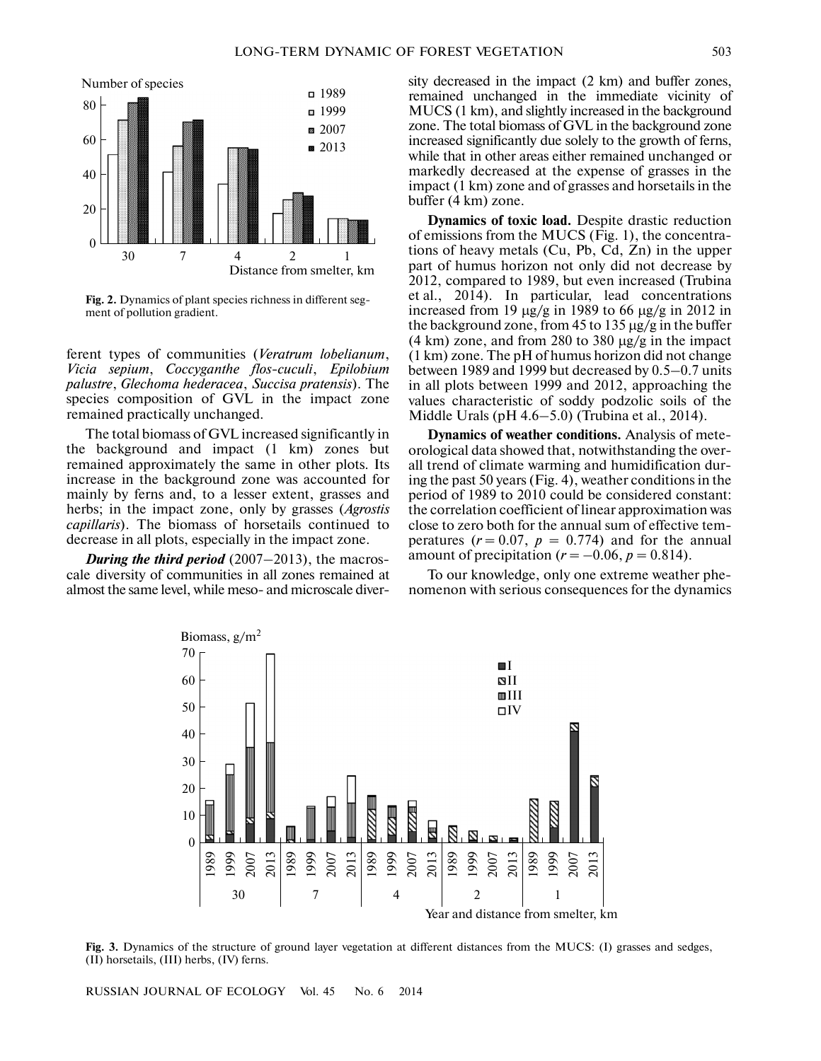

**Fig. 2.** Dynamics of plant species richness in different seg ment of pollution gradient.

ferent types of communities (*Veratrum lobelianum*, *Vicia sepium*, *Coccyganthe flos-cuculi*, *Epilobium palustre*, *Glechoma hederacea*, *Succisa pratensis*). The species composition of GVL in the impact zone remained practically unchanged.

The total biomass of GVL increased significantly in the background and impact (1 km) zones but remained approximately the same in other plots. Its increase in the background zone was accounted for mainly by ferns and, to a lesser extent, grasses and herbs; in the impact zone, only by grasses (*Agrostis capillaris*). The biomass of horsetails continued to decrease in all plots, especially in the impact zone.

*During the third period* (2007–2013), the macros cale diversity of communities in all zones remained at almost the same level, while meso- and microscale diversity decreased in the impact (2 km) and buffer zones, remained unchanged in the immediate vicinity of MUCS (1 km), and slightly increased in the background zone. The total biomass of GVL in the background zone increased significantly due solely to the growth of ferns, while that in other areas either remained unchanged or markedly decreased at the expense of grasses in the impact (1 km) zone and of grasses and horsetails in the buffer (4 km) zone.

**Dynamics of toxic load.** Despite drastic reduction of emissions from the MUCS (Fig. 1), the concentra tions of heavy metals (Cu, Pb, Cd, Zn) in the upper part of humus horizon not only did not decrease by 2012, compared to 1989, but even increased (Trubina et al., 2014). In particular, lead concentrations increased from 19 µg/g in 1989 to 66 µg/g in 2012 in the background zone, from 45 to 135 µg/g in the buffer  $(4 \text{ km})$  zone, and from 280 to 380  $\mu$ g/g in the impact (1 km) zone. The pH of humus horizon did not change between 1989 and 1999 but decreased by 0.5–0.7 units in all plots between 1999 and 2012, approaching the values characteristic of soddy podzolic soils of the Middle Urals (pH 4.6–5.0) (Trubina et al., 2014).

**Dynamics of weather conditions.** Analysis of mete orological data showed that, notwithstanding the over all trend of climate warming and humidification dur ing the past 50 years (Fig. 4), weather conditions in the period of 1989 to 2010 could be considered constant: the correlation coefficient of linear approximation was close to zero both for the annual sum of effective tem peratures  $(r = 0.07, p = 0.774)$  and for the annual close to zero both for the annual sum of effectiv<br>peratures  $(r = 0.07, p = 0.774)$  and for the a<br>amount of precipitation  $(r = -0.06, p = 0.814)$ .

To our knowledge, only one extreme weather phe nomenon with serious consequences for the dynamics



**Fig. 3.** Dynamics of the structure of ground layer vegetation at different distances from the MUCS: (I) grasses and sedges, (II) horsetails, (III) herbs, (IV) ferns.

RUSSIAN JOURNAL OF ECOLOGY Vol. 45 No. 6 2014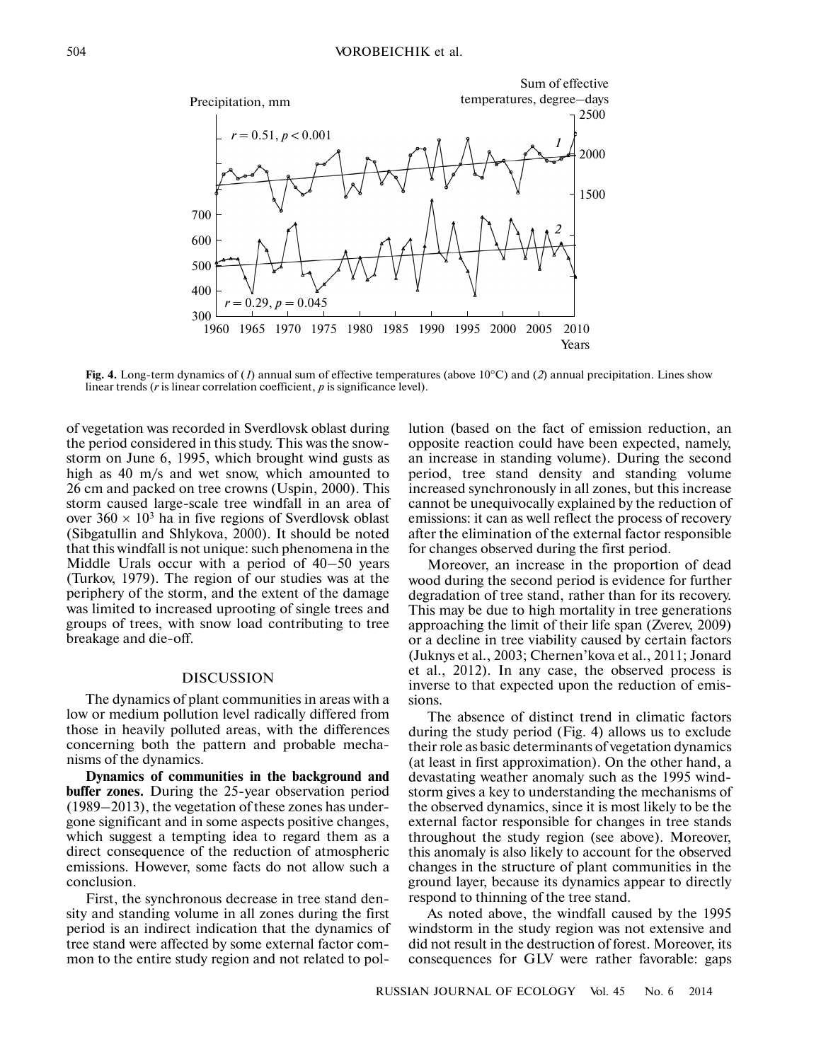

linear trends (*r* is linear correlation coefficient, *p* is significance level).

of vegetation was recorded in Sverdlovsk oblast during the period considered in this study. This was the snow storm on June 6, 1995, which brought wind gusts as high as 40 m/s and wet snow, which amounted to 26 cm and packed on tree crowns (Uspin, 2000). This storm caused large-scale tree windfall in an area of over  $360 \times 10^3$  ha in five regions of Sverdlovsk oblast (Sibgatullin and Shlykova, 2000). It should be noted that this windfall is not unique: such phenomena in the Middle Urals occur with a period of 40–50 years (Turkov, 1979). The region of our studies was at the periphery of the storm, and the extent of the damage was limited to increased uprooting of single trees and groups of trees, with snow load contributing to tree breakage and die-off.

#### DISCUSSION

The dynamics of plant communities in areas with a low or medium pollution level radically differed from those in heavily polluted areas, with the differences concerning both the pattern and probable mecha nisms of the dynamics.

**Dynamics of communities in the background and** buffer zones. During the 25-year observation period (1989–2013), the vegetation of these zones has under gone significant and in some aspects positive changes, which suggest a tempting idea to regard them as a direct consequence of the reduction of atmospheric emissions. However, some facts do not allow such a conclusion.

First, the synchronous decrease in tree stand den sity and standing volume in all zones during the first period is an indirect indication that the dynamics of tree stand were affected by some external factor com mon to the entire study region and not related to pollution (based on the fact of emission reduction, an opposite reaction could have been expected, namely, an increase in standing volume). During the second period, tree stand density and standing volume increased synchronously in all zones, but this increase cannot be unequivocally explained by the reduction of emissions: it can as well reflect the process of recovery after the elimination of the external factor responsible for changes observed during the first period.

Moreover, an increase in the proportion of dead wood during the second period is evidence for further degradation of tree stand, rather than for its recovery. This may be due to high mortality in tree generations approaching the limit of their life span (Zverev, 2009) or a decline in tree viability caused by certain factors (Juknys et al., 2003; Chernen'kova et al., 2011; Jonard et al., 2012). In any case, the observed process is inverse to that expected upon the reduction of emis sions.

The absence of distinct trend in climatic factors during the study period (Fig. 4) allows us to exclude their role as basic determinants of vegetation dynamics (at least in first approximation). On the other hand, a devastating weather anomaly such as the 1995 wind storm gives a key to understanding the mechanisms of the observed dynamics, since it is most likely to be the external factor responsible for changes in tree stands throughout the study region (see above). Moreover, this anomaly is also likely to account for the observed changes in the structure of plant communities in the ground layer, because its dynamics appear to directly respond to thinning of the tree stand.

As noted above, the windfall caused by the 1995 windstorm in the study region was not extensive and did not result in the destruction of forest. Moreover, its consequences for GLV were rather favorable: gaps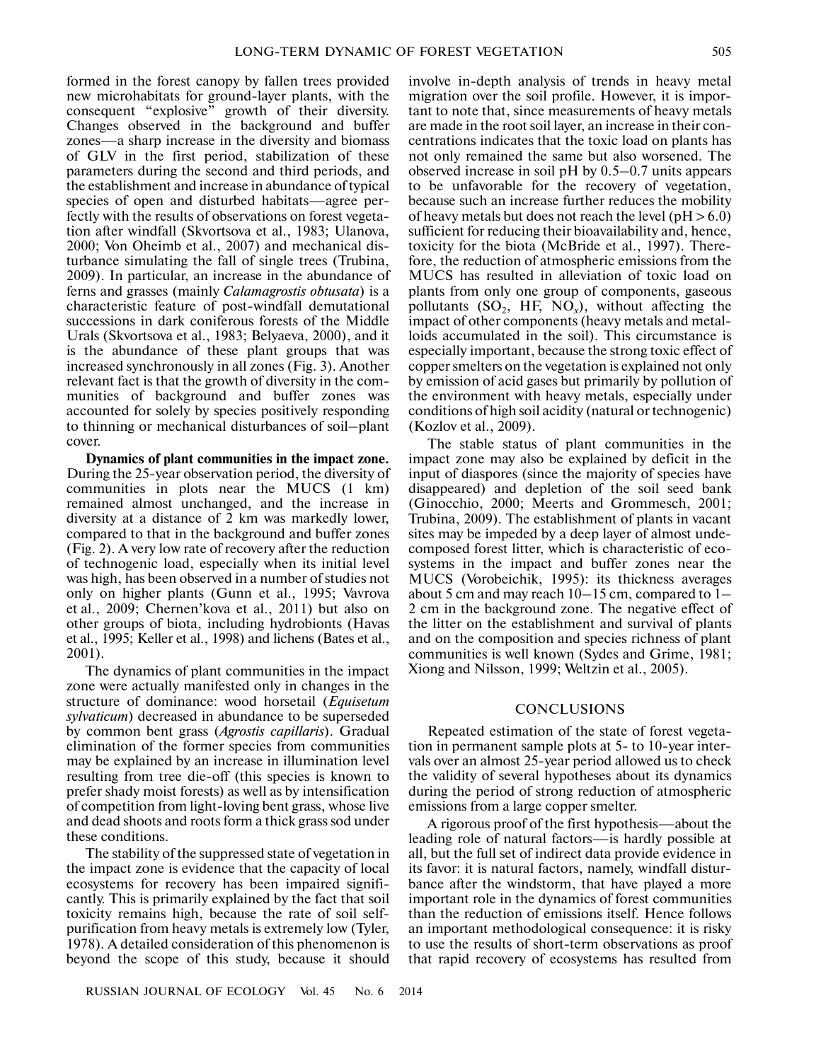formed in the forest canopy by fallen trees provided new microhabitats for ground-layer plants, with the consequent "explosive" growth of their diversity. Changes observed in the background and buffer zones—a sharp increase in the diversity and biomass of GLV in the first period, stabilization of these parameters during the second and third periods, and the establishment and increase in abundance of typical species of open and disturbed habitats—agree per fectly with the results of observations on forest vegeta tion after windfall (Skvortsova et al., 1983; Ulanova, 2000; Von Oheimb et al., 2007) and mechanical dis turbance simulating the fall of single trees (Trubina, 2009). In particular, an increase in the abundance of ferns and grasses (mainly *Calamagrostis obtusata*) is a characteristic feature of post-windfall demutational successions in dark coniferous forests of the Middle Urals (Skvortsova et al., 1983; Belyaeva, 2000), and it is the abundance of these plant groups that was increased synchronously in all zones (Fig. 3). Another relevant fact is that the growth of diversity in the com munities of background and buffer zones was accounted for solely by species positively responding to thinning or mechanical disturbances of soil–plant cover.

**Dynamics of plant communities in the impact zone.** During the 25-year observation period, the diversity of communities in plots near the MUCS (1 km) remained almost unchanged, and the increase in diversity at a distance of 2 km was markedly lower, compared to that in the background and buffer zones (Fig. 2). A very low rate of recovery after the reduction of technogenic load, especially when its initial level was high, has been observed in a number of studies not only on higher plants (Gunn et al., 1995; Vavrova et al., 2009; Chernen'kova et al., 2011) but also on other groups of biota, including hydrobionts (Havas et al., 1995; Keller et al., 1998) and lichens (Bates et al., 2001).

The dynamics of plant communities in the impact zone were actually manifested only in changes in the structure of dominance: wood horsetail (*Equisetum sylvaticum*) decreased in abundance to be superseded by common bent grass (*Agrostis capillaris*). Gradual elimination of the former species from communities may be explained by an increase in illumination level resulting from tree die-off (this species is known to prefer shady moist forests) as well as by intensification of competition from light-loving bent grass, whose live and dead shoots and roots form a thick grass sod under these conditions.

The stability of the suppressed state of vegetation in the impact zone is evidence that the capacity of local ecosystems for recovery has been impaired signifi cantly. This is primarily explained by the fact that soil toxicity remains high, because the rate of soil self purification from heavy metals is extremely low (Tyler, 1978). A detailed consideration of this phenomenon is beyond the scope of this study, because it should

involve in-depth analysis of trends in heavy metal migration over the soil profile. However, it is impor tant to note that, since measurements of heavy metals are made in the root soil layer, an increase in their con centrations indicates that the toxic load on plants has not only remained the same but also worsened. The observed increase in soil pH by 0.5–0.7 units appears to be unfavorable for the recovery of vegetation, because such an increase further reduces the mobility of heavy metals but does not reach the level ( $pH > 6.0$ ) sufficient for reducing their bioavailability and, hence, toxicity for the biota (McBride et al., 1997). There fore, the reduction of atmospheric emissions from the MUCS has resulted in alleviation of toxic load on plants from only one group of components, gaseous pollutants  $(SO_2, HF, NO_x)$ , without affecting the impact of other components (heavy metals and metal loids accumulated in the soil). This circumstance is especially important, because the strong toxic effect of copper smelters on the vegetation is explained not only by emission of acid gases but primarily by pollution of the environment with heavy metals, especially under conditions of high soil acidity (natural or technogenic) (Kozlov et al., 2009).

The stable status of plant communities in the impact zone may also be explained by deficit in the input of diaspores (since the majority of species have disappeared) and depletion of the soil seed bank (Ginocchio, 2000; Meerts and Grommesch, 2001; Trubina, 2009). The establishment of plants in vacant sites may be impeded by a deep layer of almost undecomposed forest litter, which is characteristic of eco systems in the impact and buffer zones near the MUCS (Vorobeichik, 1995): its thickness averages about 5 cm and may reach 10–15 cm, compared to 1– 2 cm in the background zone. The negative effect of the litter on the establishment and survival of plants and on the composition and species richness of plant communities is well known (Sydes and Grime, 1981; Xiong and Nilsson, 1999; Weltzin et al., 2005).

#### **CONCLUSIONS**

Repeated estimation of the state of forest vegeta tion in permanent sample plots at 5- to 10-year inter vals over an almost 25-year period allowed us to check the validity of several hypotheses about its dynamics during the period of strong reduction of atmospheric emissions from a large copper smelter.

A rigorous proof of the first hypothesis—about the leading role of natural factors—is hardly possible at all, but the full set of indirect data provide evidence in its favor: it is natural factors, namely, windfall distur bance after the windstorm, that have played a more important role in the dynamics of forest communities than the reduction of emissions itself. Hence follows an important methodological consequence: it is risky to use the results of short-term observations as proof that rapid recovery of ecosystems has resulted from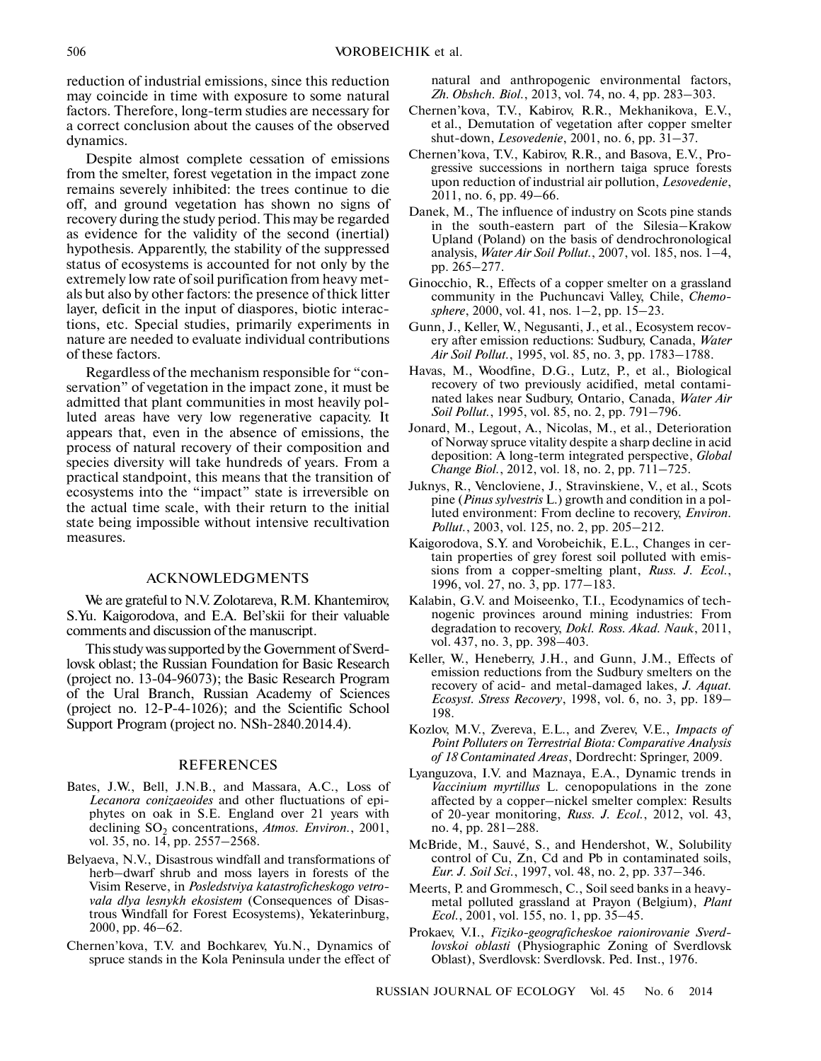reduction of industrial emissions, since this reduction may coincide in time with exposure to some natural factors. Therefore, long-term studies are necessary for a correct conclusion about the causes of the observed dynamics.

Despite almost complete cessation of emissions from the smelter, forest vegetation in the impact zone remains severely inhibited: the trees continue to die off, and ground vegetation has shown no signs of recovery during the study period. This may be regarded as evidence for the validity of the second (inertial) hypothesis. Apparently, the stability of the suppressed status of ecosystems is accounted for not only by the extremely low rate of soil purification from heavy met als but also by other factors: the presence of thick litter layer, deficit in the input of diaspores, biotic interac tions, etc. Special studies, primarily experiments in nature are needed to evaluate individual contributions of these factors.

Regardless of the mechanism responsible for "con servation" of vegetation in the impact zone, it must be admitted that plant communities in most heavily pol luted areas have very low regenerative capacity. It appears that, even in the absence of emissions, the process of natural recovery of their composition and species diversity will take hundreds of years. From a practical standpoint, this means that the transition of ecosystems into the "impact" state is irreversible on the actual time scale, with their return to the initial state being impossible without intensive recultivation measures.

## ACKNOWLEDGMENTS

We are grateful to N.V. Zolotareva, R.M. Khantemirov, S.Yu. Kaigorodova, and E.A. Bel'skii for their valuable comments and discussion of the manuscript.

This study was supported by the Government of Sverd lovsk oblast; the Russian Foundation for Basic Research (project no. 13-04-96073); the Basic Research Program of the Ural Branch, Russian Academy of Sciences (project no. 12-P-4-1026); and the Scientific School Support Program (project no. NSh-2840.2014.4).

### REFERENCES

- Bates, J.W., Bell, J.N.B., and Massara, A.C., Loss of *Lecanora conizaeoides* and other fluctuations of epi phytes on oak in S.E. England over 21 years with declining SO<sub>2</sub> concentrations, *Atmos. Environ.*, 2001, vol. 35, no. 14, pp. 2557–2568.
- Belyaeva, N.V., Disastrous windfall and transformations of herb–dwarf shrub and moss layers in forests of the Visim Reserve, in *Posledstviya katastroficheskogo vetro vala dlya lesnykh ekosistem* (Consequences of Disas trous Windfall for Forest Ecosystems), Yekaterinburg, 2000, pp. 46–62.
- Chernen'kova, T.V. and Bochkarev, Yu.N., Dynamics of spruce stands in the Kola Peninsula under the effect of

natural and anthropogenic environmental factors, *Zh. Obshch. Biol.*, 2013, vol. 74, no. 4, pp. 283–303.

- Chernen'kova, T.V., Kabirov, R.R., Mekhanikova, E.V., et al., Demutation of vegetation after copper smelter shut-down, *Lesovedenie*, 2001, no. 6, pp. 31–37.
- Chernen'kova, T.V., Kabirov, R.R., and Basova, E.V., Pro gressive successions in northern taiga spruce forests upon reduction of industrial air pollution, *Lesovedenie*, 2011, no. 6, pp. 49–66.
- Danek, M., The influence of industry on Scots pine stands in the south-eastern part of the Silesia–Krakow Upland (Poland) on the basis of dendrochronological analysis, *Water Air Soil Pollut.*, 2007, vol. 185, nos. 1–4, pp. 265–277.
- Ginocchio, R., Effects of a copper smelter on a grassland community in the Puchuncavi Valley, Chile, *Chemo sphere*, 2000, vol. 41, nos. 1–2, pp. 15–23.
- Gunn, J., Keller, W., Negusanti, J., et al., Ecosystem recov ery after emission reductions: Sudbury, Canada, *Water Air Soil Pollut.*, 1995, vol. 85, no. 3, pp. 1783–1788.
- Havas, M., Woodfine, D.G., Lutz, P., et al., Biological recovery of two previously acidified, metal contami nated lakes near Sudbury, Ontario, Canada, *Water Air Soil Pollut.*, 1995, vol. 85, no. 2, pp. 791–796.
- Jonard, M., Legout, A., Nicolas, M., et al., Deterioration of Norway spruce vitality despite a sharp decline in acid deposition: A long-term integrated perspective, *Global Change Biol.*, 2012, vol. 18, no. 2, pp. 711–725.
- Juknys, R., Vencloviene, J., Stravinskiene, V., et al., Scots pine (*Pinus sylvestris* L.) growth and condition in a pol luted environment: From decline to recovery, *Environ. Pollut.*, 2003, vol. 125, no. 2, pp. 205–212.
- Kaigorodova, S.Y. and Vorobeichik, E.L., Changes in cer tain properties of grey forest soil polluted with emis sions from a copper-smelting plant, *Russ. J. Ecol.*, 1996, vol. 27, no. 3, pp. 177–183.
- Kalabin, G.V. and Moiseenko, T.I., Ecodynamics of tech nogenic provinces around mining industries: From degradation to recovery, *Dokl. Ross. Akad. Nauk*, 2011, vol. 437, no. 3, pp. 398–403.
- Keller, W., Heneberry, J.H., and Gunn, J.M., Effects of emission reductions from the Sudbury smelters on the recovery of acid- and metal-damaged lakes, *J. Aquat. Ecosyst. Stress Recovery*, 1998, vol. 6, no. 3, pp. 189– 198.
- Kozlov, M.V., Zvereva, E.L., and Zverev, V.E., *Impacts of Point Polluters on Terrestrial Biota: Comparative Analysis of 18 Contaminated Areas*, Dordrecht: Springer, 2009.
- Lyanguzova, I.V. and Maznaya, E.A., Dynamic trends in *Vaccinium myrtillus* L. cenopopulations in the zone affected by a copper–nickel smelter complex: Results of 20-year monitoring, *Russ. J. Ecol.*, 2012, vol. 43, no. 4, pp. 281–288.
- McBride, M., Sauvé, S., and Hendershot, W., Solubility control of Cu, Zn, Cd and Pb in contaminated soils, *Eur. J. Soil Sci.*, 1997, vol. 48, no. 2, pp. 337–346.
- Meerts, P. and Grommesch, C., Soil seed banks in a heavy metal polluted grassland at Prayon (Belgium), *Plant Ecol.*, 2001, vol. 155, no. 1, pp. 35–45.
- Prokaev, V.I., *Fiziko-geograficheskoe raionirovanie Sverd lovskoi oblasti* (Physiographic Zoning of Sverdlovsk Oblast), Sverdlovsk: Sverdlovsk. Ped. Inst., 1976.